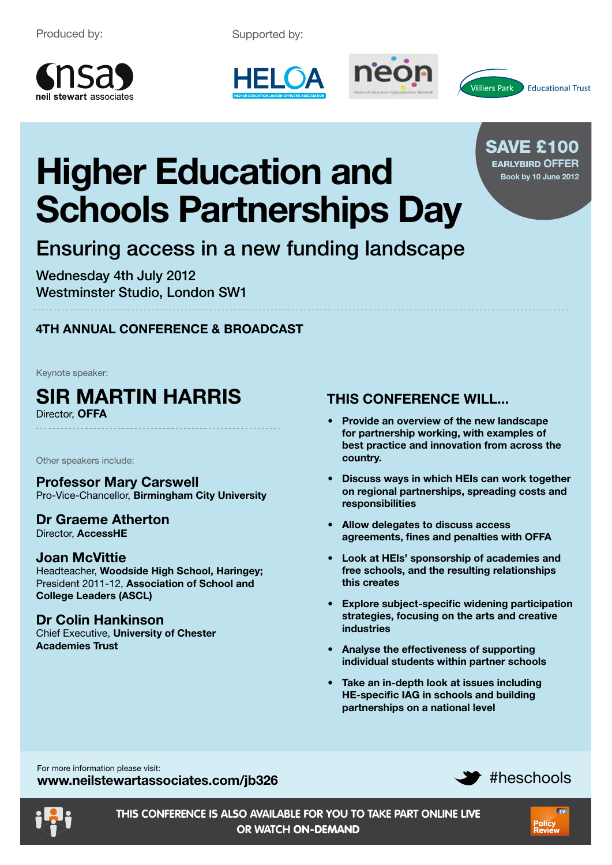Supported by:









Save £100 earlybird **offer Book by 10 June 2012**

# **Higher Education and Schools Partnerships Day**

# Ensuring access in a new funding landscape

Wednesday 4th July 2012 Westminster Studio, London SW1

# **4th annual Conference & Broadcast**

Keynote speaker:

# **Sir Martin Harris**

Director, **OFFA**

Other speakers include:

**Professor Mary Carswell** Pro-Vice-Chancellor, **Birmingham City University**

#### **Dr Graeme Atherton** Director, **AccessHE**

## **Joan McVittie**

Headteacher, **Woodside High School, Haringey;** President 2011-12, **Association of School and College Leaders (ASCL)**

#### **Dr Colin Hankinson** Chief Executive, **University of Chester**

**Academies Trust**

# **THIS CONFERENCE WILL...**

- **Provide an overview of the new landscape for partnership working, with examples of best practice and innovation from across the country.**
- **Discuss ways in which HEIs can work together on regional partnerships, spreading costs and responsibilities**
- **Allow delegates to discuss access agreements, fines and penalties with OFFA**
- **Look at HEIs' sponsorship of academies and free schools, and the resulting relationships this creates**
- **Explore subject-specific widening participation strategies, focusing on the arts and creative industries**
- **Analyse the effectiveness of supporting individual students within partner schools**
- **Take an in-depth look at issues including HE-specific IAG in schools and building partnerships on a national level**

#heschools For more information please visit: **www.neilstewartassociates.com/jb326**



**TV** 

Policy<br>Peview

**this conference is also available for you to take part online** live **or watch** on-demand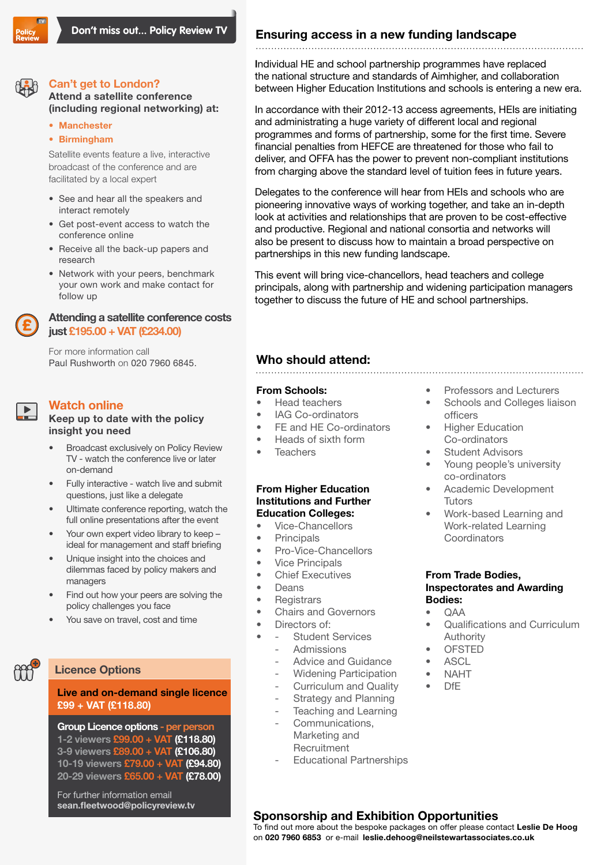

**Attend a satellite conference (including regional networking) at:**

**Can't get to London?**

- **Manchester**
- **Birmingham**

Satellite events feature a live, interactive broadcast of the conference and are facilitated by a local expert

- See and hear all the speakers and interact remotely
- Get post-event access to watch the conference online
- Receive all the back-up papers and research
- Network with your peers, benchmark your own work and make contact for follow up

#### **Attending a satellite conference costs just £195.00 + VAT (£234.00)**

For more information call Paul Rushworth on 020 7960 6845.

### **Watch online**

#### **Keep up to date with the policy insight you need**

- Broadcast exclusively on Policy Review TV - watch the conference live or later on-demand
- Fully interactive watch live and submit questions, just like a delegate
- Ultimate conference reporting, watch the full online presentations after the event
- Your own expert video library to keep ideal for management and staff briefing
- Unique insight into the choices and dilemmas faced by policy makers and managers
- Find out how your peers are solving the policy challenges you face
- You save on travel, cost and time

#### **Licence Options**

#### **Live and on-demand single licence £99 + VAT (£118.80)**

**Group Licence options - per person 1-2 viewers £99.00 + VAT (£118.80) 3-9 viewers £89.00 + VAT (£106.80) 10-19 viewers £79.00 + VAT (£94.80) 20-29 viewers £65.00 + VAT (£78.00)**

For further information email **sean.fleetwood@policyreview.tv**

## **Ensuring access in a new funding landscape**

Individual HE and school partnership programmes have replaced the national structure and standards of Aimhigher, and collaboration between Higher Education Institutions and schools is entering a new era.

In accordance with their 2012-13 access agreements, HEIs are initiating and administrating a huge variety of different local and regional programmes and forms of partnership, some for the first time. Severe financial penalties from HEFCE are threatened for those who fail to deliver, and OFFA has the power to prevent non-compliant institutions from charging above the standard level of tuition fees in future years.

Delegates to the conference will hear from HEIs and schools who are pioneering innovative ways of working together, and take an in-depth look at activities and relationships that are proven to be cost-effective and productive. Regional and national consortia and networks will also be present to discuss how to maintain a broad perspective on partnerships in this new funding landscape.

This event will bring vice-chancellors, head teachers and college principals, along with partnership and widening participation managers together to discuss the future of HE and school partnerships.

#### **Who should attend:**

#### **From Schools:**

- Head teachers
- IAG Co-ordinators
- FE and HE Co-ordinators
- Heads of sixth form
- Teachers

#### **From Higher Education Institutions and Further Education Colleges:**

- Vice-Chancellors
- Principals
- Pro-Vice-Chancellors
- Vice Principals
- Chief Executives
- **Deans**
- Registrars
- Chairs and Governors
- Directors of:
	- **Student Services** 
		- **Admissions**
		- Advice and Guidance
		- Widening Participation
		- Curriculum and Quality
		- Strategy and Planning
		- Teaching and Learning
		- Communications, Marketing and **Recruitment**
		- Educational Partnerships

#### • Professors and Lecturers

- Schools and Colleges liaison officers
- **Higher Education** Co-ordinators
- **Student Advisors**
- Young people's university co-ordinators
- Academic Development **Tutors**
- Work-based Learning and Work-related Learning **Coordinators**

#### **From Trade Bodies, Inspectorates and Awarding Bodies:**

- QAA
- Qualifications and Curriculum Authority
- OFSTED
- **ASCL**
- NAHT
- DfE

### **Sponsorship and Exhibition Opportunities**

To find out more about the bespoke packages on offer please contact **Leslie De Hoog**  on **020 7960 6853** or e-mail **leslie.dehoog@neilstewartassociates.co.uk**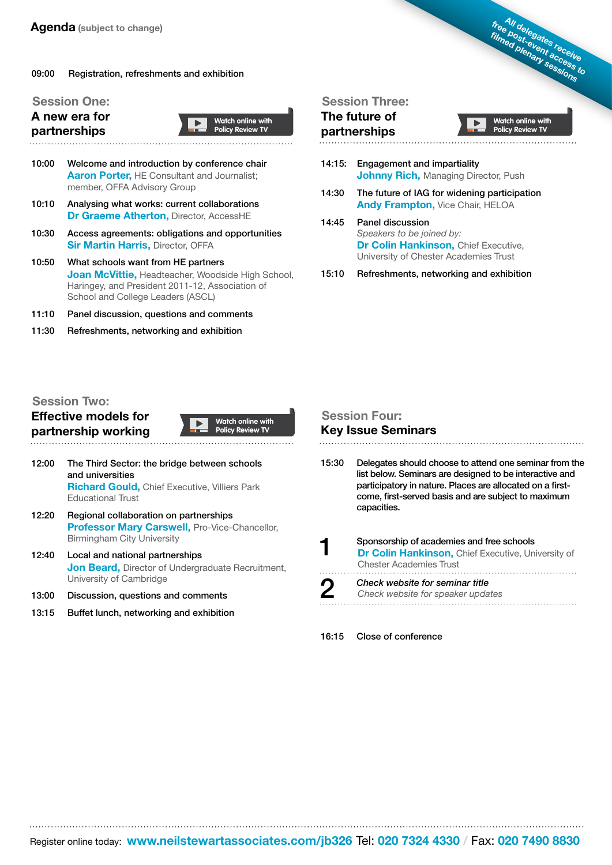#### 09:00 Registration, refreshments and exhibition

#### **Session One:**

**A new era for partnerships**



- 10:10 Analysing what works: current collaborations **Dr Graeme Atherton,** Director, AccessHE
- 10:30 Access agreements: obligations and opportunities **Sir Martin Harris, Director, OFFA**
- 10:50 What schools want from HE partners **Joan McVittie,** Headteacher, Woodside High School, Haringey, and President 2011-12, Association of School and College Leaders (ASCL)
- 11:10 Panel discussion, questions and comments
- 11:30 Refreshments, networking and exhibition

#### **Session Three:**

#### **The future of partnerships**

**Watch online with Policy Review TV**

**All delegates receive free post-event access to filmed plenary sessions**

- 14:15: Engagement and impartiality **Johnny Rich, Managing Director, Push**
- 14:30 The future of IAG for widening participation **Andy Frampton,** Vice Chair, HELOA
- 14:45 Panel discussion *Speakers to be joined by:* **Dr Colin Hankinson, Chief Executive,** University of Chester Academies Trust

15:10 Refreshments, networking and exhibition

#### **Session Two:**

**Effective models for partnership working**



**Watch online with Policy Review TV**

- 12:00 The Third Sector: the bridge between schools and universities **Richard Gould,** Chief Executive, Villiers Park Educational Trust
- 12:20 Regional collaboration on partnerships **Professor Mary Carswell, Pro-Vice-Chancellor,** Birmingham City University
- 12:40 Local and national partnerships **Jon Beard, Director of Undergraduate Recruitment,** University of Cambridge

- 13:00 Discussion, questions and comments
- 13:15 Buffet lunch, networking and exhibition

# **Session Four:**

#### **Key Issue Seminars**

15:30 Delegates should choose to attend one seminar from the list below. Seminars are designed to be interactive and participatory in nature. Places are allocated on a firstcome, first-served basis and are subject to maximum capacities.

| ◀ | Sponsorship of academies and free schools<br>Dr Colin Hankinson, Chief Executive, University of<br><b>Chester Academies Trust</b> |
|---|-----------------------------------------------------------------------------------------------------------------------------------|
| 2 | Check website for seminar title<br>Check website for speaker updates                                                              |

16:15 Close of conference